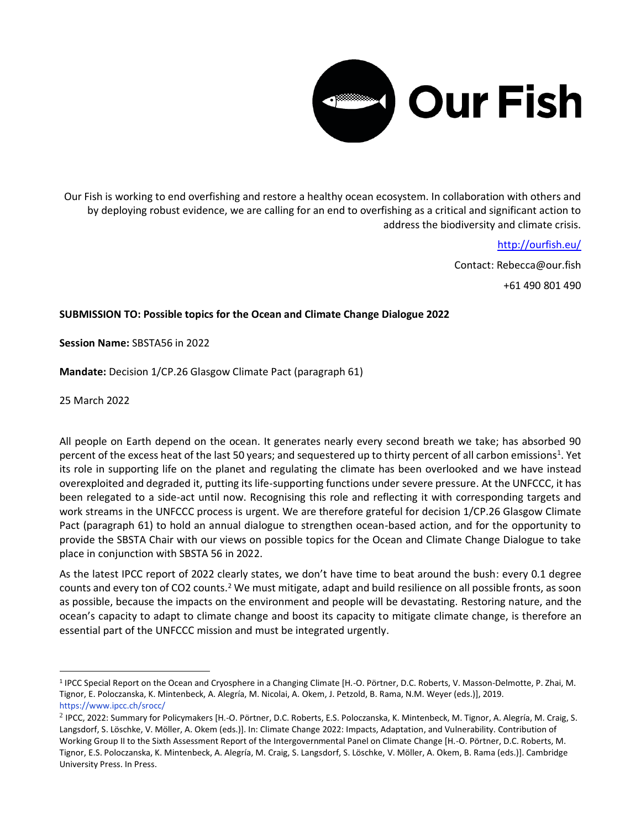

Our Fish is working to end overfishing and restore a healthy ocean ecosystem. In collaboration with others and by deploying robust evidence, we are calling for an end to overfishing as a critical and significant action to address the biodiversity and climate crisis.

<http://ourfish.eu/>

Contact: Rebecca@our.fish +61 490 801 490

## **SUBMISSION TO: Possible topics for the Ocean and Climate Change Dialogue 2022**

**Session Name:** SBSTA56 in 2022

**Mandate:** Decision 1/CP.26 Glasgow Climate Pact (paragraph 61)

25 March 2022

All people on Earth depend on the ocean. It generates nearly every second breath we take; has absorbed 90 percent of the excess heat of the last 50 years; and sequestered up to thirty percent of all carbon emissions<sup>1</sup>. Yet its role in supporting life on the planet and regulating the climate has been overlooked and we have instead overexploited and degraded it, putting its life-supporting functions under severe pressure. At the UNFCCC, it has been relegated to a side-act until now. Recognising this role and reflecting it with corresponding targets and work streams in the UNFCCC process is urgent. We are therefore grateful for decision 1/CP.26 Glasgow Climate Pact (paragraph 61) to hold an annual dialogue to strengthen ocean-based action, and for the opportunity to provide the SBSTA Chair with our views on possible topics for the Ocean and Climate Change Dialogue to take place in conjunction with SBSTA 56 in 2022.

As the latest IPCC report of 2022 clearly states, we don't have time to beat around the bush: every 0.1 degree counts and every ton of CO2 counts.<sup>2</sup> We must mitigate, adapt and build resilience on all possible fronts, as soon as possible, because the impacts on the environment and people will be devastating. Restoring nature, and the ocean's capacity to adapt to climate change and boost its capacity to mitigate climate change, is therefore an essential part of the UNFCCC mission and must be integrated urgently.

<sup>&</sup>lt;sup>1</sup> IPCC Special Report on the Ocean and Cryosphere in a Changing Climate [H.-O. Pörtner, D.C. Roberts, V. Masson-Delmotte, P. Zhai, M. Tignor, E. Poloczanska, K. Mintenbeck, A. Alegría, M. Nicolai, A. Okem, J. Petzold, B. Rama, N.M. Weyer (eds.)], 2019. https://www.ipcc.ch/srocc/

 $^2$  IPCC, 2022: Summary for Policymakers [H.-O. Pörtner, D.C. Roberts, E.S. Poloczanska, K. Mintenbeck, M. Tignor, A. Alegría, M. Craig, S. Langsdorf, S. Löschke, V. Möller, A. Okem (eds.)]. In: Climate Change 2022: Impacts, Adaptation, and Vulnerability. Contribution of Working Group II to the Sixth Assessment Report of the Intergovernmental Panel on Climate Change [H.-O. Pörtner, D.C. Roberts, M. Tignor, E.S. Poloczanska, K. Mintenbeck, A. Alegría, M. Craig, S. Langsdorf, S. Löschke, V. Möller, A. Okem, B. Rama (eds.)]. Cambridge University Press. In Press.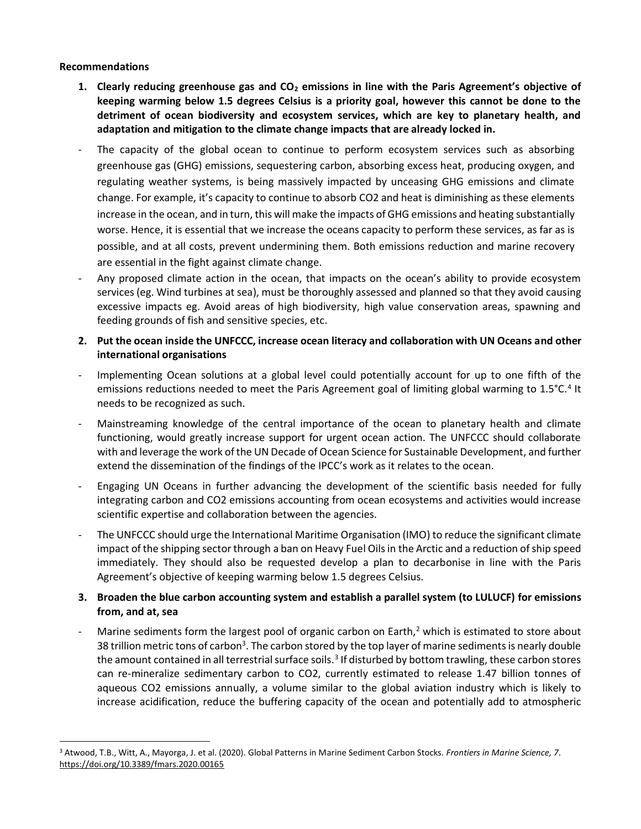## **Recommendations**

- **1. Clearly reducing greenhouse gas and CO<sup>2</sup> emissions in line with the Paris Agreement's objective of keeping warming below 1.5 degrees Celsius is a priority goal, however this cannot be done to the detriment of ocean biodiversity and ecosystem services, which are key to planetary health, and adaptation and mitigation to the climate change impacts that are already locked in.**
- The capacity of the global ocean to continue to perform ecosystem services such as absorbing greenhouse gas (GHG) emissions, sequestering carbon, absorbing excess heat, producing oxygen, and regulating weather systems, is being massively impacted by unceasing GHG emissions and climate change. For example, it's capacity to continue to absorb CO2 and heat is diminishing as these elements increase in the ocean, and in turn, this will make the impacts of GHG emissions and heating substantially worse. Hence, it is essential that we increase the oceans capacity to perform these services, as far as is possible, and at all costs, prevent undermining them. Both emissions reduction and marine recovery are essential in the fight against climate change.
- Any proposed climate action in the ocean, that impacts on the ocean's ability to provide ecosystem services (eg. Wind turbines at sea), must be thoroughly assessed and planned so that they avoid causing excessive impacts eg. Avoid areas of high biodiversity, high value conservation areas, spawning and feeding grounds of fish and sensitive species, etc.

## **2. Put the ocean inside the UNFCCC, increase ocean literacy and collaboration with UN Oceans and other international organisations**

- Implementing Ocean solutions at a global level could potentially account for up to one fifth of the emissions reductions needed to meet the Paris Agreement goal of limiting global warming to 1.5°C.<sup>4</sup> It needs to be recognized as such.
- Mainstreaming knowledge of the central importance of the ocean to planetary health and climate functioning, would greatly increase support for urgent ocean action. The UNFCCC should collaborate with and leverage the work of the UN Decade of Ocean Science for Sustainable Development, and further extend the dissemination of the findings of the IPCC's work as it relates to the ocean.
- Engaging UN Oceans in further advancing the development of the scientific basis needed for fully integrating carbon and CO2 emissions accounting from ocean ecosystems and activities would increase scientific expertise and collaboration between the agencies.
- The UNFCCC should urge the International Maritime Organisation (IMO) to reduce the significant climate impact of the shipping sector through a ban on Heavy Fuel Oils in the Arctic and a reduction of ship speed immediately. They should also be requested develop a plan to decarbonise in line with the Paris Agreement's objective of keeping warming below 1.5 degrees Celsius.
- **3. Broaden the blue carbon accounting system and establish a parallel system (to LULUCF) for emissions from, and at, sea**
- Marine sediments form the largest pool of organic carbon on Earth, $<sup>2</sup>$  which is estimated to store about</sup> 38 trillion metric tons of carbon<sup>3</sup>. The carbon stored by the top layer of marine sediments is nearly double the amount contained in all terrestrial surface soils.<sup>3</sup> If disturbed by bottom trawling, these carbon stores can re-mineralize sedimentary carbon to CO2, currently estimated to release 1.47 billion tonnes of aqueous CO2 emissions annually, a volume similar to the global aviation industry which is likely to increase acidification, reduce the buffering capacity of the ocean and potentially add to atmospheric

<sup>3</sup> Atwood, T.B., Witt, A., Mayorga, J. et al. (2020). Global Patterns in Marine Sediment Carbon Stocks. *Frontiers in Marine Science, 7*. <https://doi.org/10.3389/fmars.2020.00165>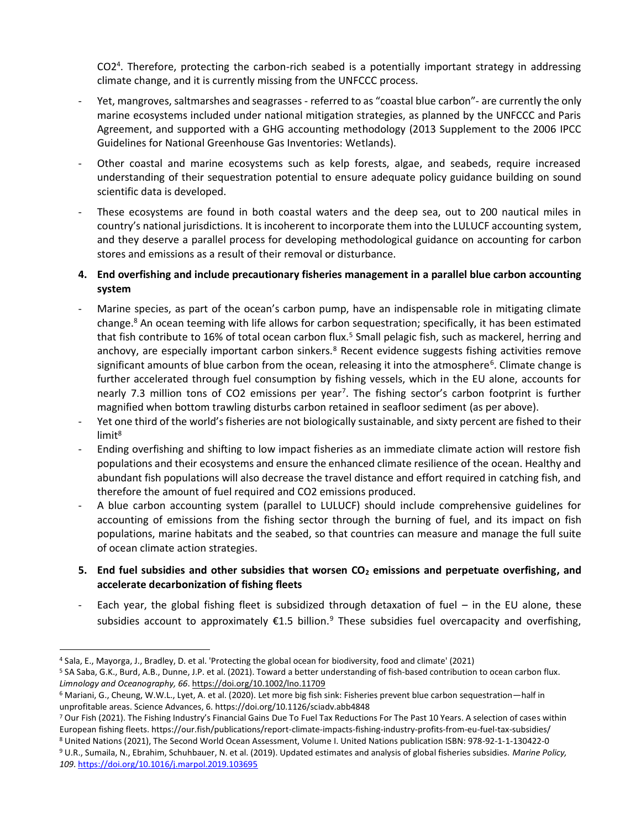CO2<sup>4</sup> . Therefore, protecting the carbon-rich seabed is a potentially important strategy in addressing climate change, and it is currently missing from the UNFCCC process.

- Yet, mangroves, saltmarshes and seagrasses referred to as "coastal blue carbon"- are currently the only marine ecosystems included under national mitigation strategies, as planned by the UNFCCC and Paris Agreement, and supported with a GHG accounting methodology (2013 Supplement to the 2006 IPCC Guidelines for National Greenhouse Gas Inventories: Wetlands).
- Other coastal and marine ecosystems such as kelp forests, algae, and seabeds, require increased understanding of their sequestration potential to ensure adequate policy guidance building on sound scientific data is developed.
- These ecosystems are found in both coastal waters and the deep sea, out to 200 nautical miles in country's national jurisdictions. It is incoherent to incorporate them into the LULUCF accounting system, and they deserve a parallel process for developing methodological guidance on accounting for carbon stores and emissions as a result of their removal or disturbance.
- **4. End overfishing and include precautionary fisheries management in a parallel blue carbon accounting system**
- Marine species, as part of the ocean's carbon pump, have an indispensable role in mitigating climate change.<sup>8</sup> An ocean teeming with life allows for carbon sequestration; specifically, it has been estimated that fish contribute to 16% of total ocean carbon flux.<sup>5</sup> Small pelagic fish, such as mackerel, herring and anchovy, are especially important carbon sinkers.<sup>8</sup> Recent evidence suggests fishing activities remove significant amounts of blue carbon from the ocean, releasing it into the atmosphere<sup>6</sup>. Climate change is further accelerated through fuel consumption by fishing vessels, which in the EU alone, accounts for nearly 7.3 million tons of CO2 emissions per year<sup>7</sup>. The fishing sector's carbon footprint is further magnified when bottom trawling disturbs carbon retained in seafloor sediment (as per above).
- Yet one third of the world's fisheries are not biologically sustainable, and sixty percent are fished to their limit<sup>8</sup>
- Ending overfishing and shifting to low impact fisheries as an immediate climate action will restore fish populations and their ecosystems and ensure the enhanced climate resilience of the ocean. Healthy and abundant fish populations will also decrease the travel distance and effort required in catching fish, and therefore the amount of fuel required and CO2 emissions produced.
- A blue carbon accounting system (parallel to LULUCF) should include comprehensive guidelines for accounting of emissions from the fishing sector through the burning of fuel, and its impact on fish populations, marine habitats and the seabed, so that countries can measure and manage the full suite of ocean climate action strategies.
- **5. End fuel subsidies and other subsidies that worsen CO<sup>2</sup> emissions and perpetuate overfishing, and accelerate decarbonization of fishing fleets**
- Each year, the global fishing fleet is subsidized through detaxation of fuel  $-$  in the EU alone, these subsidies account to approximately  $E1.5$  billion.<sup>9</sup> These subsidies fuel overcapacity and overfishing,

<sup>4</sup> Sala, E., Mayorga, J., Bradley, D. et al. 'Protecting the global ocean for biodiversity, food and climate' (2021)

<sup>5</sup> SA Saba, G.K., Burd, A.B., Dunne, J.P. et al. (2021). Toward a better understanding of fish‐based contribution to ocean carbon flux. *Limnology and Oceanography, 66*[. https://doi.org/10.1002/lno.11709](https://doi.org/10.1002/lno.11709)

<sup>6</sup> Mariani, G., Cheung, W.W.L., Lyet, A. et al. (2020). Let more big fish sink: Fisheries prevent blue carbon sequestration—half in unprofitable areas. Science Advances, 6.<https://doi.org/10.1126/sciadv.abb4848>

<sup>7</sup> Our Fish (2021). The Fishing Industry's Financial Gains Due To Fuel Tax Reductions For The Past 10 Years. A selection of cases within European fishing fleets. https://our.fish/publications/report-climate-impacts-fishing-industry-profits-from-eu-fuel-tax-subsidies/ <sup>8</sup> United Nations (2021), The Second World Ocean Assessment, Volume I. United Nations publication ISBN: 978-92-1-1-130422-0

<sup>9</sup> U.R., Sumaila, N., Ebrahim, Schuhbauer, N. et al. (2019). Updated estimates and analysis of global fisheries subsidies. *Marine Policy, 109*[. https://doi.org/10.1016/j.marpol.2019.103695](https://doi.org/10.1016/j.marpol.2019.103695)